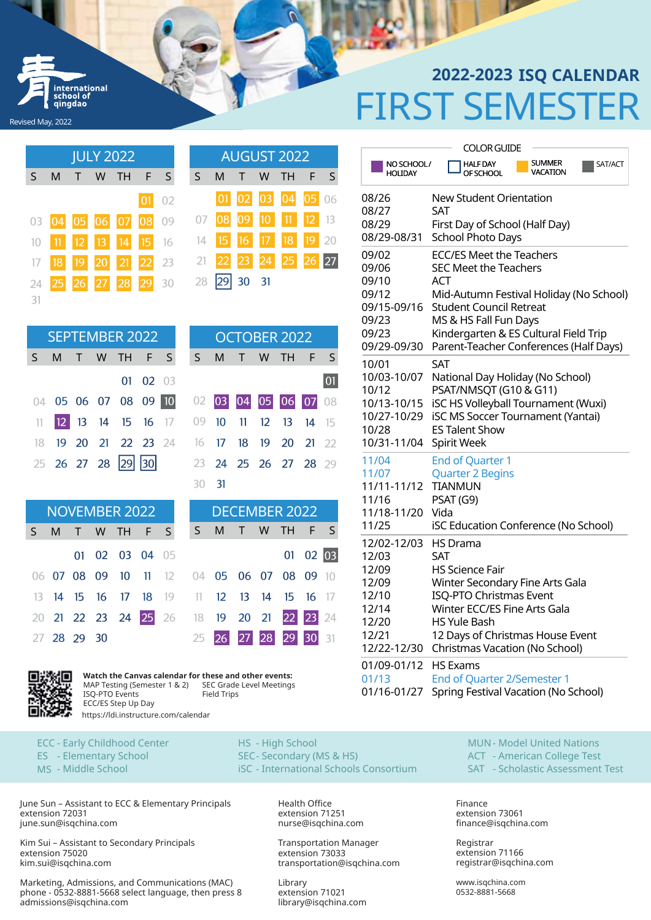## FIRST SEMESTER **2022-2023 ISQ CALENDAR**

|    | <b>JULY 2022</b> |   |   |                      |  |       |  |    |       |             |   | <b>AUGUST 2022</b>   |       |  |
|----|------------------|---|---|----------------------|--|-------|--|----|-------|-------------|---|----------------------|-------|--|
| S  | M                | Т | W | <b>TH</b>            |  | F S   |  | S. | M     | T.          | W | TH.                  | F S   |  |
|    |                  |   |   |                      |  | 01 02 |  |    |       | $01$ 02     |   | 03 04 05 06          |       |  |
|    |                  |   |   | 03 04 05 06 07 08 09 |  |       |  |    |       |             |   | 07 08 09 10 11 12 13 |       |  |
|    |                  |   |   | 11 12 13 14 15 16    |  |       |  |    | 14 15 |             |   | 16 17 18             | 19 20 |  |
|    |                  |   |   | 18 19 20 21 22 23    |  |       |  | 21 |       |             |   | 22 23 24 25 26 27    |       |  |
| 24 |                  |   |   | 25 26 27 28 29 30    |  |       |  | 28 |       | $ 29 30$ 31 |   |                      |       |  |
| 31 |                  |   |   |                      |  |       |  |    |       |             |   |                      |       |  |

ternational anol of qingdao

Revised May, 2022

| <b>SEPTEMBER 2022</b> |                             |  |  |  |          |  |  |  |  |
|-----------------------|-----------------------------|--|--|--|----------|--|--|--|--|
|                       | S M T W TH F S              |  |  |  |          |  |  |  |  |
|                       |                             |  |  |  | 01 02 03 |  |  |  |  |
|                       | 04 05 06 07 08 09 10        |  |  |  |          |  |  |  |  |
|                       | 11 <b>12 13 14 15 16</b> 17 |  |  |  |          |  |  |  |  |
|                       | 18 19 20 21 22 23 24        |  |  |  |          |  |  |  |  |
|                       | 25 26 27 28 29 30           |  |  |  |          |  |  |  |  |

| NOVEMBER 2022<br>S M T W TH F S S M T W TH F S |  |  |                                           |  |  |  | DECEMBER 2022 |  |  |                      |          |  |
|------------------------------------------------|--|--|-------------------------------------------|--|--|--|---------------|--|--|----------------------|----------|--|
|                                                |  |  |                                           |  |  |  |               |  |  |                      |          |  |
|                                                |  |  | 01 02 03 04 05                            |  |  |  |               |  |  |                      | 01 02 03 |  |
|                                                |  |  | 06 07 08 09 10 11 12 04 05 06 07 08 09 10 |  |  |  |               |  |  |                      |          |  |
|                                                |  |  | 13 14 15 16 17 18 19 11 12 13 14 15 16 17 |  |  |  |               |  |  |                      |          |  |
|                                                |  |  | 20 21 22 23 24 25 26 18 19 20 21 22 23 24 |  |  |  |               |  |  |                      |          |  |
| 27 28 29 30                                    |  |  |                                           |  |  |  |               |  |  | 25 26 27 28 29 30 31 |          |  |



**Watch the Canvas calendar for these and other events:**  MAP Testing (Semester 1 & 2) ISQ-PTO Events ECC/ES Step Up Day SEC Grade Level Meetings Field Trips https://ldi.instructure.com/calendar

ECC - Early Childhood Center ES - Elementary School MS - Middle School

June Sun – Assistant to ECC & Elementary Principals extension 72031 june.sun@isqchina.com

Kim Sui – Assistant to Secondary Principals extension 75020 kim.sui@isqchina.com

Marketing, Admissions, and Communications (MAC) phone - 0532-8881-5668 select language, then press 8 admissions@isqchina.com

| <b>AUGUST 2022</b> |             |  |  |                      |  |  |  |  |  |
|--------------------|-------------|--|--|----------------------|--|--|--|--|--|
| S.                 |             |  |  | M T W TH F S         |  |  |  |  |  |
|                    |             |  |  | 01 02 03 04 05 06    |  |  |  |  |  |
|                    |             |  |  | 07 08 09 10 11 12 13 |  |  |  |  |  |
|                    |             |  |  | 14 15 16 17 18 19 20 |  |  |  |  |  |
|                    |             |  |  | 21 22 23 24 25 26 27 |  |  |  |  |  |
|                    | 28 29 30 31 |  |  |                      |  |  |  |  |  |

|    | <b>SEPTEMBER 2022</b><br>S M T W TH F S |  |  |                                           |                  |  |  |     |  | OCTOBER 2022         |    |
|----|-----------------------------------------|--|--|-------------------------------------------|------------------|--|--|-----|--|----------------------|----|
|    |                                         |  |  |                                           |                  |  |  |     |  | S M T W TH F S       |    |
|    |                                         |  |  |                                           | $01 \t 02 \t 03$ |  |  |     |  |                      | 01 |
|    |                                         |  |  | 04 05 06 07 08 09 10 02                   |                  |  |  |     |  | 03 04 05 06 07 08    |    |
| 11 |                                         |  |  | 12 13 14 15 16 17 09 10 11 12 13 14 15    |                  |  |  |     |  |                      |    |
|    |                                         |  |  | 18 19 20 21 22 23 24 16 17 18 19 20 21 22 |                  |  |  |     |  |                      |    |
|    |                                         |  |  | 25 26 27 28 29 30                         |                  |  |  |     |  | 23 24 25 26 27 28 29 |    |
|    |                                         |  |  |                                           |                  |  |  | -31 |  |                      |    |

|    | <b>DECEMBER 2022</b>                        |  |  |  |          |  |  |  |  |  |
|----|---------------------------------------------|--|--|--|----------|--|--|--|--|--|
| S  | S M T W TH F S                              |  |  |  |          |  |  |  |  |  |
| 05 |                                             |  |  |  | 01 02 03 |  |  |  |  |  |
|    | 12  04  05  06  07  08  09  10              |  |  |  |          |  |  |  |  |  |
|    | 19 11 12 13 14 15 16 17                     |  |  |  |          |  |  |  |  |  |
|    | 26 18 <b>19 20 21 <mark>22</mark> 23</b> 24 |  |  |  |          |  |  |  |  |  |
|    | 25 26 27 28 29 30 31                        |  |  |  |          |  |  |  |  |  |

HS - High School SEC - Secondary (MS & HS) iSC - International Schools Consortium

> Health Office extension 71251 nurse@isqchina.com

Transportation Manager extension 73033 transportation@isqchina.com

Library extension 71021 library@isqchina.com

|                       | <b>COLOR GUIDE</b>                                                   |  |  |  |  |  |  |
|-----------------------|----------------------------------------------------------------------|--|--|--|--|--|--|
| NO SCHOOL/<br>HOLIDAY | <b>SUMMER</b><br>SAT/ACT<br><b>HALF DAY</b><br>VACATION<br>OF SCHOOL |  |  |  |  |  |  |
| 08/26                 | <b>New Student Orientation</b>                                       |  |  |  |  |  |  |
| 08/27                 | SAT                                                                  |  |  |  |  |  |  |
| 08/29                 | First Day of School (Half Day)                                       |  |  |  |  |  |  |
| 08/29-08/31           | School Photo Days                                                    |  |  |  |  |  |  |
| 09/02                 | <b>ECC/ES Meet the Teachers</b>                                      |  |  |  |  |  |  |
| 09/06                 | <b>SEC Meet the Teachers</b>                                         |  |  |  |  |  |  |
| 09/10                 | ACT                                                                  |  |  |  |  |  |  |
| 09/12                 | Mid-Autumn Festival Holiday (No School)                              |  |  |  |  |  |  |
| 09/15-09/16           | <b>Student Council Retreat</b>                                       |  |  |  |  |  |  |
| 09/23                 | MS & HS Fall Fun Days                                                |  |  |  |  |  |  |
| 09/23                 | Kindergarten & ES Cultural Field Trip                                |  |  |  |  |  |  |
| 09/29-09/30           | Parent-Teacher Conferences (Half Days)                               |  |  |  |  |  |  |
| 10/01                 | SAT                                                                  |  |  |  |  |  |  |
| 10/03-10/07           | National Day Holiday (No School)                                     |  |  |  |  |  |  |
| 10/12                 | PSAT/NMSQT (G10 & G11)                                               |  |  |  |  |  |  |
| 10/13-10/15           | iSC HS Volleyball Tournament (Wuxi)                                  |  |  |  |  |  |  |
| 10/27-10/29           | <b>iSC MS Soccer Tournament (Yantai)</b>                             |  |  |  |  |  |  |
| 10/28                 | <b>ES Talent Show</b>                                                |  |  |  |  |  |  |
| 10/31-11/04           | Spirit Week                                                          |  |  |  |  |  |  |
| 11/04                 | <b>End of Quarter 1</b>                                              |  |  |  |  |  |  |
| 11/07                 | <b>Quarter 2 Begins</b>                                              |  |  |  |  |  |  |
| 11/11-11/12           | <b>TIANMUN</b>                                                       |  |  |  |  |  |  |
| 11/16                 | PSAT (G9)                                                            |  |  |  |  |  |  |
| 11/18-11/20           | Vida                                                                 |  |  |  |  |  |  |
| 11/25                 | <b>iSC Education Conference (No School)</b>                          |  |  |  |  |  |  |
| 12/02-12/03           | <b>HS</b> Drama                                                      |  |  |  |  |  |  |
| 12/03                 | SAT                                                                  |  |  |  |  |  |  |
| 12/09                 | HS Science Fair                                                      |  |  |  |  |  |  |
| 12/09                 | Winter Secondary Fine Arts Gala                                      |  |  |  |  |  |  |
| 12/10                 | <b>ISQ-PTO Christmas Event</b>                                       |  |  |  |  |  |  |
| 12/14                 | Winter ECC/ES Fine Arts Gala                                         |  |  |  |  |  |  |
| 12/20                 | HS Yule Bash                                                         |  |  |  |  |  |  |
| 12/21                 | 12 Days of Christmas House Event                                     |  |  |  |  |  |  |
| 12/22-12/30           | Christmas Vacation (No School)                                       |  |  |  |  |  |  |
| 01/09-01/12           | <b>HS Exams</b>                                                      |  |  |  |  |  |  |
| 01/13                 | <b>End of Quarter 2/Semester 1</b>                                   |  |  |  |  |  |  |
| 01/16-01/27           | Spring Festival Vacation (No School)                                 |  |  |  |  |  |  |

MUN - Model United Nations ACT - American College Test SAT - Scholastic Assessment Test

Finance extension 73061 finance@isqchina.com

Registrar extension 71166 registrar@isqchina.com

www.isqchina.com 0532-8881-5668